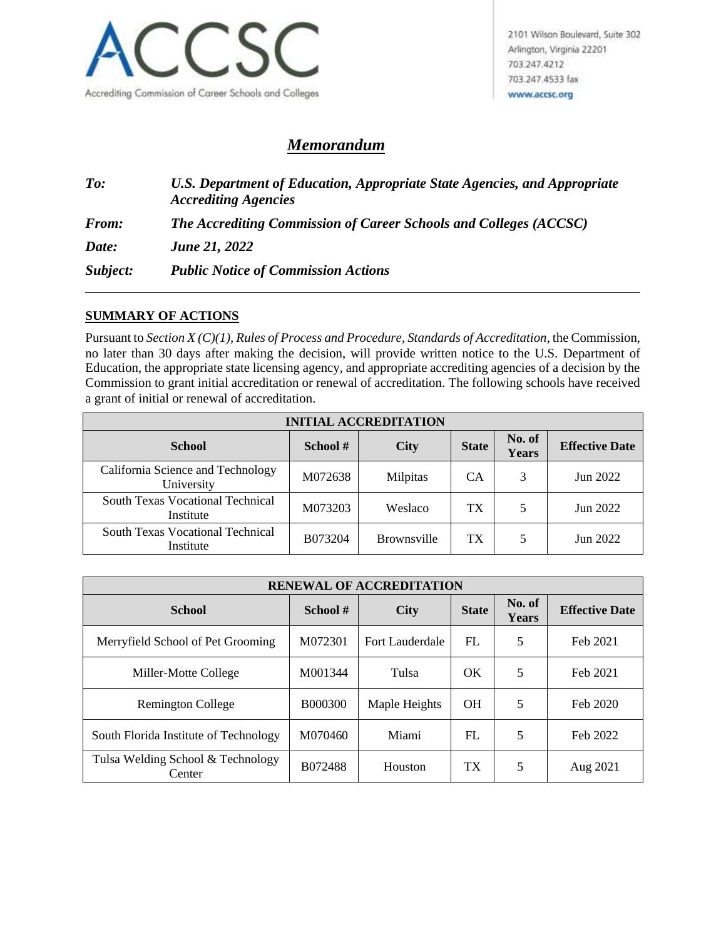

## *Memorandum*

*To: U.S. Department of Education, Appropriate State Agencies, and Appropriate Accrediting Agencies From: The Accrediting Commission of Career Schools and Colleges (ACCSC) Date: June 21, 2022 Subject: Public Notice of Commission Actions*

## **SUMMARY OF ACTIONS**

Pursuant to *Section X (C)(1), Rules of Process and Procedure*, *Standards of Accreditation*, the Commission, no later than 30 days after making the decision, will provide written notice to the U.S. Department of Education, the appropriate state licensing agency, and appropriate accrediting agencies of a decision by the Commission to grant initial accreditation or renewal of accreditation. The following schools have received a grant of initial or renewal of accreditation.

| <b>INITIAL ACCREDITATION</b>                         |         |                    |           |                 |                       |  |  |
|------------------------------------------------------|---------|--------------------|-----------|-----------------|-----------------------|--|--|
| <b>School</b>                                        | School# | <b>City</b>        |           | No. of<br>Years | <b>Effective Date</b> |  |  |
| California Science and Technology<br>University      | M072638 | Milpitas           | <b>CA</b> | 3               | Jun 2022              |  |  |
| <b>South Texas Vocational Technical</b><br>Institute | M073203 | Weslaco            | TX        |                 | Jun 2022              |  |  |
| South Texas Vocational Technical<br>Institute        | B073204 | <b>Brownsville</b> | TX        |                 | Jun 2022              |  |  |

| <b>RENEWAL OF ACCREDITATION</b>             |                |                 |              |                 |                       |  |  |
|---------------------------------------------|----------------|-----------------|--------------|-----------------|-----------------------|--|--|
| <b>School</b>                               | School#        | <b>City</b>     | <b>State</b> | No. of<br>Years | <b>Effective Date</b> |  |  |
| Merryfield School of Pet Grooming           | M072301        | Fort Lauderdale | FL           | 5               | Feb 2021              |  |  |
| Miller-Motte College                        | M001344        | Tulsa           | OK           | 5               | Feb 2021              |  |  |
| <b>Remington College</b>                    | <b>B000300</b> | Maple Heights   | <b>OH</b>    | 5               | Feb 2020              |  |  |
| South Florida Institute of Technology       | M070460        | Miami           | FL           | 5               | Feb 2022              |  |  |
| Tulsa Welding School & Technology<br>Center | B072488        | Houston         | TX           | 5               | Aug 2021              |  |  |